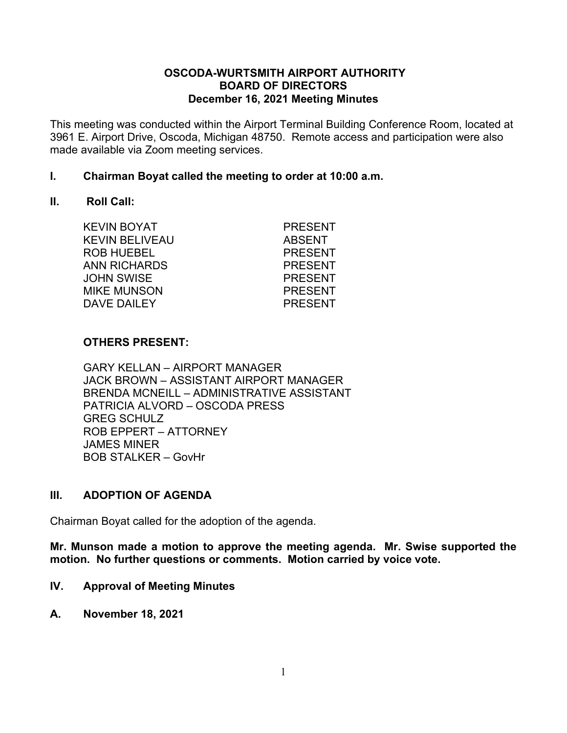#### **OSCODA-WURTSMITH AIRPORT AUTHORITY BOARD OF DIRECTORS December 16, 2021 Meeting Minutes**

This meeting was conducted within the Airport Terminal Building Conference Room, located at 3961 E. Airport Drive, Oscoda, Michigan 48750. Remote access and participation were also made available via Zoom meeting services.

### **I. Chairman Boyat called the meeting to order at 10:00 a.m.**

#### **II. Roll Call:**

KEVIN BOYAT PRESENT KEVIN BELIVEAU ABSENT ROB HUEBEL PRESENT ANN RICHARDS PRESENT JOHN SWISE PRESENT MIKE MUNSON PRESENT DAVE DAILEY PRESENT

### **OTHERS PRESENT:**

GARY KELLAN – AIRPORT MANAGER JACK BROWN – ASSISTANT AIRPORT MANAGER BRENDA MCNEILL – ADMINISTRATIVE ASSISTANT PATRICIA ALVORD – OSCODA PRESS GREG SCHULZ ROB EPPERT – ATTORNEY JAMES MINER BOB STALKER – GovHr

### **III. ADOPTION OF AGENDA**

Chairman Boyat called for the adoption of the agenda.

**Mr. Munson made a motion to approve the meeting agenda. Mr. Swise supported the motion. No further questions or comments. Motion carried by voice vote.**

- **IV. Approval of Meeting Minutes**
- **A. November 18, 2021**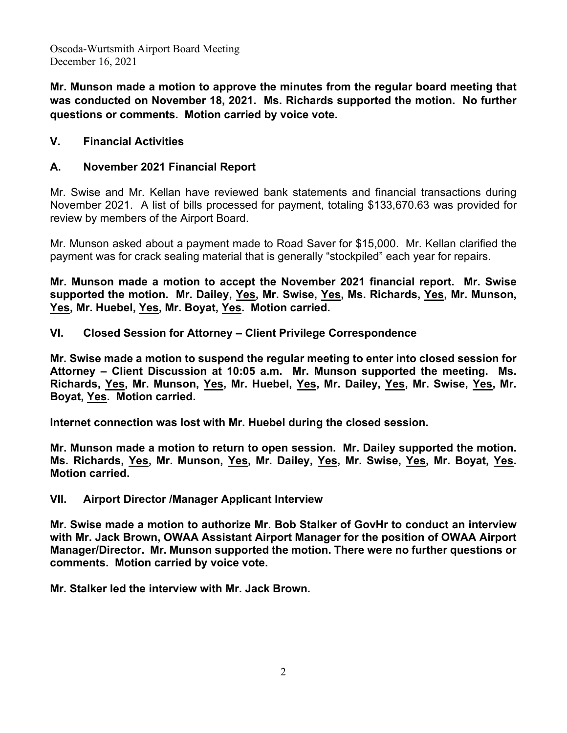**Mr. Munson made a motion to approve the minutes from the regular board meeting that was conducted on November 18, 2021. Ms. Richards supported the motion. No further questions or comments. Motion carried by voice vote.**

### **V. Financial Activities**

### **A. November 2021 Financial Report**

Mr. Swise and Mr. Kellan have reviewed bank statements and financial transactions during November 2021. A list of bills processed for payment, totaling \$133,670.63 was provided for review by members of the Airport Board.

Mr. Munson asked about a payment made to Road Saver for \$15,000. Mr. Kellan clarified the payment was for crack sealing material that is generally "stockpiled" each year for repairs.

**Mr. Munson made a motion to accept the November 2021 financial report. Mr. Swise supported the motion. Mr. Dailey, Yes, Mr. Swise, Yes, Ms. Richards, Yes, Mr. Munson, Yes, Mr. Huebel, Yes, Mr. Boyat, Yes. Motion carried.**

**VI. Closed Session for Attorney – Client Privilege Correspondence**

**Mr. Swise made a motion to suspend the regular meeting to enter into closed session for Attorney – Client Discussion at 10:05 a.m. Mr. Munson supported the meeting. Ms. Richards, Yes, Mr. Munson, Yes, Mr. Huebel, Yes, Mr. Dailey, Yes, Mr. Swise, Yes, Mr. Boyat, Yes. Motion carried.**

**Internet connection was lost with Mr. Huebel during the closed session.**

**Mr. Munson made a motion to return to open session. Mr. Dailey supported the motion. Ms. Richards, Yes, Mr. Munson, Yes, Mr. Dailey, Yes, Mr. Swise, Yes, Mr. Boyat, Yes. Motion carried.**

### **VII. Airport Director /Manager Applicant Interview**

**Mr. Swise made a motion to authorize Mr. Bob Stalker of GovHr to conduct an interview with Mr. Jack Brown, OWAA Assistant Airport Manager for the position of OWAA Airport Manager/Director. Mr. Munson supported the motion. There were no further questions or comments. Motion carried by voice vote.**

**Mr. Stalker led the interview with Mr. Jack Brown.**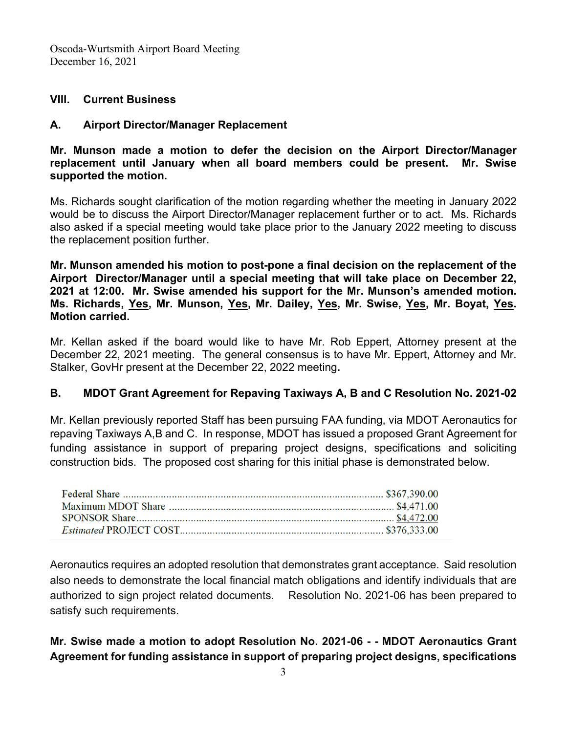### **VIII. Current Business**

### **A. Airport Director/Manager Replacement**

**Mr. Munson made a motion to defer the decision on the Airport Director/Manager replacement until January when all board members could be present. Mr. Swise supported the motion.**

Ms. Richards sought clarification of the motion regarding whether the meeting in January 2022 would be to discuss the Airport Director/Manager replacement further or to act. Ms. Richards also asked if a special meeting would take place prior to the January 2022 meeting to discuss the replacement position further.

**Mr. Munson amended his motion to post-pone a final decision on the replacement of the Airport Director/Manager until a special meeting that will take place on December 22, 2021 at 12:00. Mr. Swise amended his support for the Mr. Munson's amended motion. Ms. Richards, Yes, Mr. Munson, Yes, Mr. Dailey, Yes, Mr. Swise, Yes, Mr. Boyat, Yes. Motion carried.**

Mr. Kellan asked if the board would like to have Mr. Rob Eppert, Attorney present at the December 22, 2021 meeting. The general consensus is to have Mr. Eppert, Attorney and Mr. Stalker, GovHr present at the December 22, 2022 meeting**.** 

### **B. MDOT Grant Agreement for Repaving Taxiways A, B and C Resolution No. 2021-02**

Mr. Kellan previously reported Staff has been pursuing FAA funding, via MDOT Aeronautics for repaving Taxiways A,B and C. In response, MDOT has issued a proposed Grant Agreement for funding assistance in support of preparing project designs, specifications and soliciting construction bids. The proposed cost sharing for this initial phase is demonstrated below.

Aeronautics requires an adopted resolution that demonstrates grant acceptance. Said resolution also needs to demonstrate the local financial match obligations and identify individuals that are authorized to sign project related documents. Resolution No. 2021-06 has been prepared to satisfy such requirements.

**Mr. Swise made a motion to adopt Resolution No. 2021-06 - - MDOT Aeronautics Grant Agreement for funding assistance in support of preparing project designs, specifications**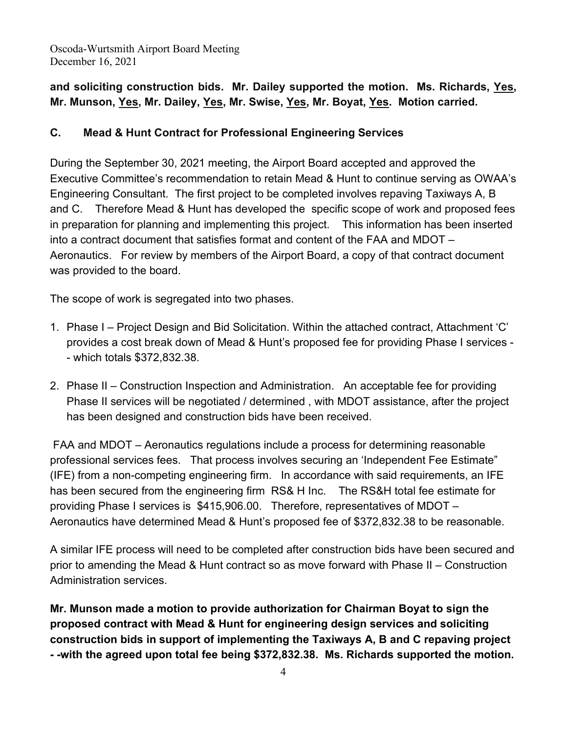# **and soliciting construction bids. Mr. Dailey supported the motion. Ms. Richards, Yes, Mr. Munson, Yes, Mr. Dailey, Yes, Mr. Swise, Yes, Mr. Boyat, Yes. Motion carried.**

## **C. Mead & Hunt Contract for Professional Engineering Services**

During the September 30, 2021 meeting, the Airport Board accepted and approved the Executive Committee's recommendation to retain Mead & Hunt to continue serving as OWAA's Engineering Consultant. The first project to be completed involves repaving Taxiways A, B and C. Therefore Mead & Hunt has developed the specific scope of work and proposed fees in preparation for planning and implementing this project. This information has been inserted into a contract document that satisfies format and content of the FAA and MDOT – Aeronautics. For review by members of the Airport Board, a copy of that contract document was provided to the board.

The scope of work is segregated into two phases.

- 1. Phase I Project Design and Bid Solicitation. Within the attached contract, Attachment 'C' provides a cost break down of Mead & Hunt's proposed fee for providing Phase I services - - which totals \$372,832.38.
- 2. Phase II Construction Inspection and Administration. An acceptable fee for providing Phase II services will be negotiated / determined , with MDOT assistance, after the project has been designed and construction bids have been received.

FAA and MDOT – Aeronautics regulations include a process for determining reasonable professional services fees. That process involves securing an 'Independent Fee Estimate" (IFE) from a non-competing engineering firm. In accordance with said requirements, an IFE has been secured from the engineering firm RS& H Inc. The RS&H total fee estimate for providing Phase I services is \$415,906.00. Therefore, representatives of MDOT – Aeronautics have determined Mead & Hunt's proposed fee of \$372,832.38 to be reasonable.

A similar IFE process will need to be completed after construction bids have been secured and prior to amending the Mead & Hunt contract so as move forward with Phase II – Construction Administration services.

**Mr. Munson made a motion to provide authorization for Chairman Boyat to sign the proposed contract with Mead & Hunt for engineering design services and soliciting construction bids in support of implementing the Taxiways A, B and C repaving project - -with the agreed upon total fee being \$372,832.38. Ms. Richards supported the motion.**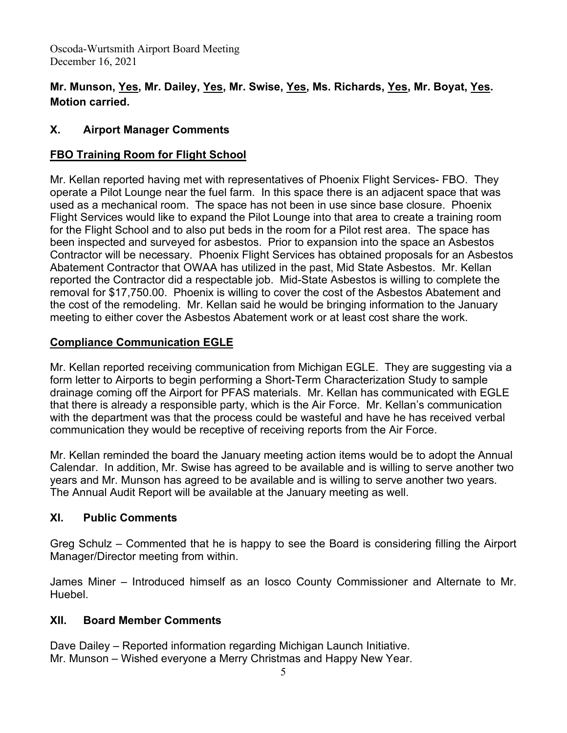# **Mr. Munson, Yes, Mr. Dailey, Yes, Mr. Swise, Yes, Ms. Richards, Yes, Mr. Boyat, Yes. Motion carried.**

# **X. Airport Manager Comments**

# **FBO Training Room for Flight School**

Mr. Kellan reported having met with representatives of Phoenix Flight Services- FBO. They operate a Pilot Lounge near the fuel farm. In this space there is an adjacent space that was used as a mechanical room. The space has not been in use since base closure. Phoenix Flight Services would like to expand the Pilot Lounge into that area to create a training room for the Flight School and to also put beds in the room for a Pilot rest area. The space has been inspected and surveyed for asbestos. Prior to expansion into the space an Asbestos Contractor will be necessary. Phoenix Flight Services has obtained proposals for an Asbestos Abatement Contractor that OWAA has utilized in the past, Mid State Asbestos. Mr. Kellan reported the Contractor did a respectable job. Mid-State Asbestos is willing to complete the removal for \$17,750.00. Phoenix is willing to cover the cost of the Asbestos Abatement and the cost of the remodeling. Mr. Kellan said he would be bringing information to the January meeting to either cover the Asbestos Abatement work or at least cost share the work.

# **Compliance Communication EGLE**

Mr. Kellan reported receiving communication from Michigan EGLE. They are suggesting via a form letter to Airports to begin performing a Short-Term Characterization Study to sample drainage coming off the Airport for PFAS materials. Mr. Kellan has communicated with EGLE that there is already a responsible party, which is the Air Force. Mr. Kellan's communication with the department was that the process could be wasteful and have he has received verbal communication they would be receptive of receiving reports from the Air Force.

Mr. Kellan reminded the board the January meeting action items would be to adopt the Annual Calendar. In addition, Mr. Swise has agreed to be available and is willing to serve another two years and Mr. Munson has agreed to be available and is willing to serve another two years. The Annual Audit Report will be available at the January meeting as well.

# **XI. Public Comments**

Greg Schulz – Commented that he is happy to see the Board is considering filling the Airport Manager/Director meeting from within.

James Miner – Introduced himself as an Iosco County Commissioner and Alternate to Mr. Huebel.

### **XII. Board Member Comments**

Dave Dailey – Reported information regarding Michigan Launch Initiative. Mr. Munson – Wished everyone a Merry Christmas and Happy New Year.